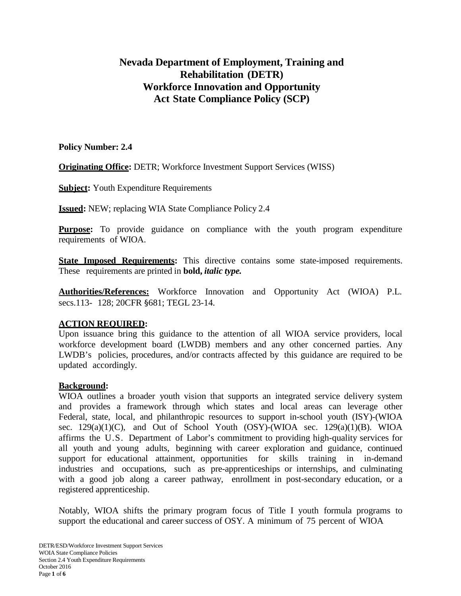# **Nevada Department of Employment, Training and Rehabilitation (DETR) Workforce Innovation and Opportunity Act State Compliance Policy (SCP)**

#### **Policy Number: 2.4**

**Originating Office:** DETR; Workforce Investment Support Services (WISS)

**Subject:** Youth Expenditure Requirements

**Issued:** NEW; replacing WIA State Compliance Policy 2.4

**Purpose:** To provide guidance on compliance with the youth program expenditure requirements of WIOA.

**State Imposed Requirements:** This directive contains some state-imposed requirements. These requirements are printed in **bold,** *italic type.*

**Authorities/References:** Workforce Innovation and Opportunity Act (WIOA) P.L. secs.113- 128; 20CFR §681; TEGL 23-14.

#### **ACTION REQUIRED:**

Upon issuance bring this guidance to the attention of all WIOA service providers, local workforce development board (LWDB) members and any other concerned parties. Any LWDB's policies, procedures, and/or contracts affected by this guidance are required to be updated accordingly.

#### **Background:**

WIOA outlines a broader youth vision that supports an integrated service delivery system and provides a framework through which states and local areas can leverage other Federal, state, local, and philanthropic resources to support in-school youth (ISY)-(WIOA sec.  $129(a)(1)(C)$ , and Out of School Youth (OSY)-(WIOA sec.  $129(a)(1)(B)$ . WIOA affirms the U.S. Department of Labor's commitment to providing high-quality services for all youth and young adults, beginning with career exploration and guidance, continued support for educational attainment, opportunities for skills training in in-demand industries and occupations, such as pre-apprenticeships or internships, and culminating with a good job along a career pathway, enrollment in post-secondary education, or a registered apprenticeship.

Notably, WIOA shifts the primary program focus of Title I youth formula programs to support the educational and career success of OSY. A minimum of 75 percent of WIOA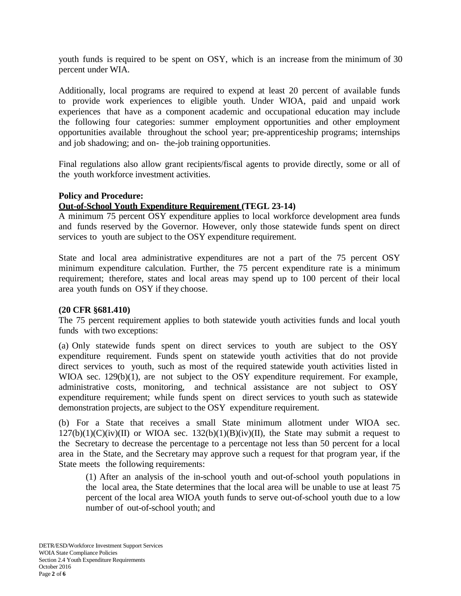youth funds is required to be spent on OSY, which is an increase from the minimum of 30 percent under WIA.

Additionally, local programs are required to expend at least 20 percent of available funds to provide work experiences to eligible youth. Under WIOA, paid and unpaid work experiences that have as a component academic and occupational education may include the following four categories: summer employment opportunities and other employment opportunities available throughout the school year; pre-apprenticeship programs; internships and job shadowing; and on- the-job training opportunities.

Final regulations also allow grant recipients/fiscal agents to provide directly, some or all of the youth workforce investment activities.

# **Policy and Procedure:**

# **Out-of-School Youth Expenditure Requirement (TEGL 23-14)**

A minimum 75 percent OSY expenditure applies to local workforce development area funds and funds reserved by the Governor. However, only those statewide funds spent on direct services to youth are subject to the OSY expenditure requirement.

State and local area administrative expenditures are not a part of the 75 percent OSY minimum expenditure calculation. Further, the 75 percent expenditure rate is a minimum requirement; therefore, states and local areas may spend up to 100 percent of their local area youth funds on OSY if they choose.

#### **(20 CFR §681.410)**

The 75 percent requirement applies to both statewide youth activities funds and local youth funds with two exceptions:

(a) Only statewide funds spent on direct services to youth are subject to the OSY expenditure requirement. Funds spent on statewide youth activities that do not provide direct services to youth, such as most of the required statewide youth activities listed in WIOA sec. 129(b)(1), are not subject to the OSY expenditure requirement. For example, administrative costs, monitoring, and technical assistance are not subject to OSY expenditure requirement; while funds spent on direct services to youth such as statewide demonstration projects, are subject to the OSY expenditure requirement.

(b) For a State that receives a small State minimum allotment under WIOA sec.  $127(b)(1)(C)(iv)(II)$  or WIOA sec.  $132(b)(1)(B)(iv)(II)$ , the State may submit a request to the Secretary to decrease the percentage to a percentage not less than 50 percent for a local area in the State, and the Secretary may approve such a request for that program year, if the State meets the following requirements:

(1) After an analysis of the in-school youth and out-of-school youth populations in the local area, the State determines that the local area will be unable to use at least 75 percent of the local area WIOA youth funds to serve out-of-school youth due to a low number of out-of-school youth; and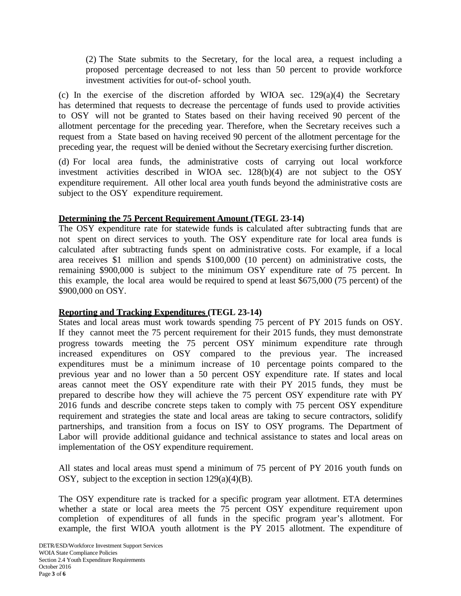(2) The State submits to the Secretary, for the local area, a request including a proposed percentage decreased to not less than 50 percent to provide workforce investment activities for out-of- school youth.

(c) In the exercise of the discretion afforded by WIOA sec.  $129(a)(4)$  the Secretary has determined that requests to decrease the percentage of funds used to provide activities to OSY will not be granted to States based on their having received 90 percent of the allotment percentage for the preceding year. Therefore, when the Secretary receives such a request from a State based on having received 90 percent of the allotment percentage for the preceding year, the request will be denied without the Secretary exercising further discretion.

(d) For local area funds, the administrative costs of carrying out local workforce investment activities described in WIOA sec. 128(b)(4) are not subject to the OSY expenditure requirement. All other local area youth funds beyond the administrative costs are subject to the OSY expenditure requirement.

# **Determining the 75 Percent Requirement Amount (TEGL 23-14)**

The OSY expenditure rate for statewide funds is calculated after subtracting funds that are not spent on direct services to youth. The OSY expenditure rate for local area funds is calculated after subtracting funds spent on administrative costs. For example, if a local area receives \$1 million and spends \$100,000 (10 percent) on administrative costs, the remaining \$900,000 is subject to the minimum OSY expenditure rate of 75 percent. In this example, the local area would be required to spend at least \$675,000 (75 percent) of the \$900,000 on OSY.

# **Reporting and Tracking Expenditures (TEGL 23-14)**

States and local areas must work towards spending 75 percent of PY 2015 funds on OSY. If they cannot meet the 75 percent requirement for their 2015 funds, they must demonstrate progress towards meeting the 75 percent OSY minimum expenditure rate through increased expenditures on OSY compared to the previous year. The increased expenditures must be a minimum increase of 10 percentage points compared to the previous year and no lower than a 50 percent OSY expenditure rate. If states and local areas cannot meet the OSY expenditure rate with their PY 2015 funds, they must be prepared to describe how they will achieve the 75 percent OSY expenditure rate with PY 2016 funds and describe concrete steps taken to comply with 75 percent OSY expenditure requirement and strategies the state and local areas are taking to secure contractors, solidify partnerships, and transition from a focus on ISY to OSY programs. The Department of Labor will provide additional guidance and technical assistance to states and local areas on implementation of the OSY expenditure requirement.

All states and local areas must spend a minimum of 75 percent of PY 2016 youth funds on OSY, subject to the exception in section  $129(a)(4)(B)$ .

The OSY expenditure rate is tracked for a specific program year allotment. ETA determines whether a state or local area meets the 75 percent OSY expenditure requirement upon completion of expenditures of all funds in the specific program year's allotment. For example, the first WIOA youth allotment is the PY 2015 allotment. The expenditure of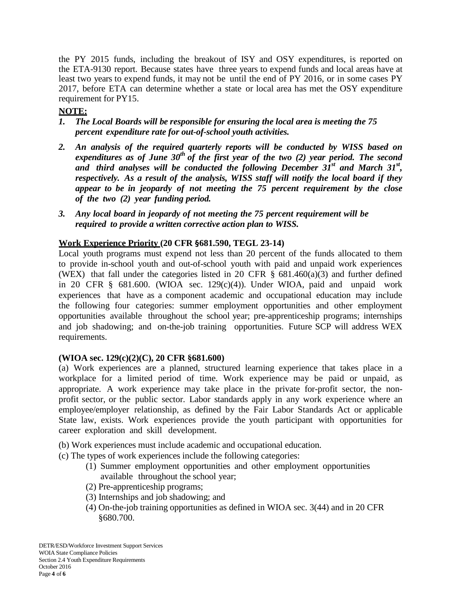the PY 2015 funds, including the breakout of ISY and OSY expenditures, is reported on the ETA-9130 report. Because states have three years to expend funds and local areas have at least two years to expend funds, it may not be until the end of PY 2016, or in some cases PY 2017, before ETA can determine whether a state or local area has met the OSY expenditure requirement for PY15.

# **NOTE:**

- *1. The Local Boards will be responsible for ensuring the local area is meeting the 75 percent expenditure rate for out-of-school youth activities.*
- *2. An analysis of the required quarterly reports will be conducted by WISS based on expenditures as of June 30th of the first year of the two (2) year period. The second and third analyses will be conducted the following December 31st and March 31st , respectively. As a result of the analysis, WISS staff will notify the local board if they appear to be in jeopardy of not meeting the 75 percent requirement by the close of the two (2) year funding period.*
- *3. Any local board in jeopardy of not meeting the 75 percent requirement will be required to provide a written corrective action plan to WISS.*

# **Work Experience Priority (20 CFR §681.590, TEGL 23-14)**

Local youth programs must expend not less than 20 percent of the funds allocated to them to provide in-school youth and out-of-school youth with paid and unpaid work experiences (WEX) that fall under the categories listed in 20 CFR  $\S$  681.460(a)(3) and further defined in 20 CFR § 681.600. (WIOA sec. 129(c)(4)). Under WIOA, paid and unpaid work experiences that have as a component academic and occupational education may include the following four categories: summer employment opportunities and other employment opportunities available throughout the school year; pre-apprenticeship programs; internships and job shadowing; and on-the-job training opportunities. Future SCP will address WEX requirements.

# **(WIOA sec. 129(c)(2)(C), 20 CFR §681.600)**

(a) Work experiences are a planned, structured learning experience that takes place in a workplace for a limited period of time. Work experience may be paid or unpaid, as appropriate. A work experience may take place in the private for-profit sector, the nonprofit sector, or the public sector. Labor standards apply in any work experience where an employee/employer relationship, as defined by the Fair Labor Standards Act or applicable State law, exists. Work experiences provide the youth participant with opportunities for career exploration and skill development.

(b) Work experiences must include academic and occupational education.

- (c) The types of work experiences include the following categories:
	- (1) Summer employment opportunities and other employment opportunities available throughout the school year;
	- (2) Pre-apprenticeship programs;
	- (3) Internships and job shadowing; and
	- (4) On-the-job training opportunities as defined in WIOA sec. 3(44) and in 20 CFR §680.700.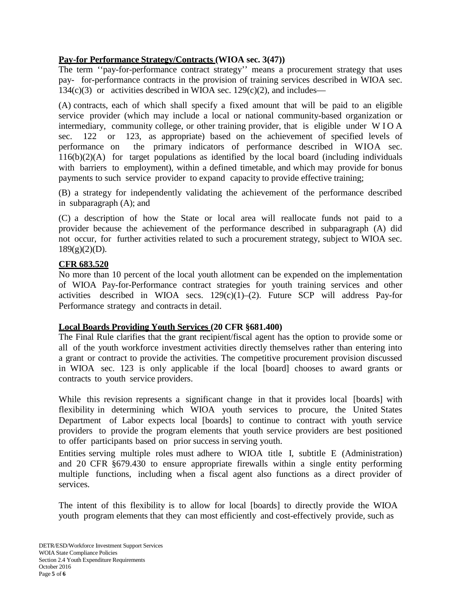# **Pay-for Performance Strategy/Contracts (WIOA sec. 3(47))**

The term "pay-for-performance contract strategy" means a procurement strategy that uses pay- for-performance contracts in the provision of training services described in WIOA sec. 134(c)(3) or activities described in WIOA sec. 129(c)(2), and includes—

(A) contracts, each of which shall specify a fixed amount that will be paid to an eligible service provider (which may include a local or national community-based organization or intermediary, community college, or other training provider, that is eligible under WIOA sec. 122 or 123, as appropriate) based on the achievement of specified levels of performance on the primary indicators of performance described in WIOA sec. 116(b)(2)(A) for target populations as identified by the local board (including individuals with barriers to employment), within a defined timetable, and which may provide for bonus payments to such service provider to expand capacity to provide effective training;

(B) a strategy for independently validating the achievement of the performance described in subparagraph (A); and

(C) a description of how the State or local area will reallocate funds not paid to a provider because the achievement of the performance described in subparagraph (A) did not occur, for further activities related to such a procurement strategy, subject to WIOA sec.  $189(g)(2)(D)$ .

# **CFR 683.520**

No more than 10 percent of the local youth allotment can be expended on the implementation of WIOA Pay-for-Performance contract strategies for youth training services and other activities described in WIOA secs.  $129(c)(1)-(2)$ . Future SCP will address Pay-for Performance strategy and contracts in detail.

#### **Local Boards Providing Youth Services (20 CFR §681.400)**

The Final Rule clarifies that the grant recipient/fiscal agent has the option to provide some or all of the youth workforce investment activities directly themselves rather than entering into a grant or contract to provide the activities. The competitive procurement provision discussed in WIOA sec. 123 is only applicable if the local [board] chooses to award grants or contracts to youth service providers.

While this revision represents a significant change in that it provides local [boards] with flexibility in determining which WIOA youth services to procure, the United States Department of Labor expects local [boards] to continue to contract with youth service providers to provide the program elements that youth service providers are best positioned to offer participants based on prior success in serving youth.

Entities serving multiple roles must adhere to WIOA title I, subtitle E (Administration) and 20 CFR §679.430 to ensure appropriate firewalls within a single entity performing multiple functions, including when a fiscal agent also functions as a direct provider of services.

The intent of this flexibility is to allow for local [boards] to directly provide the WIOA youth program elements that they can most efficiently and cost-effectively provide, such as